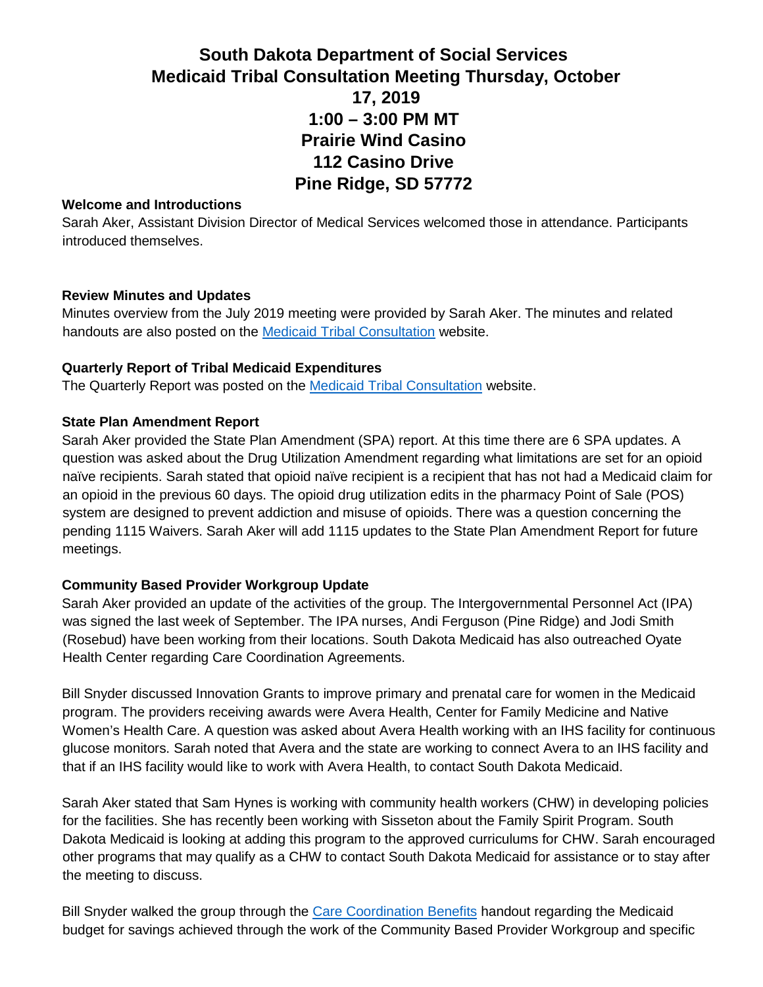# **South Dakota Department of Social Services Medicaid Tribal Consultation Meeting Thursday, October 17, 2019 1:00 – 3:00 PM MT Prairie Wind Casino 112 Casino Drive Pine Ridge, SD 57772**

#### **Welcome and Introductions**

Sarah Aker, Assistant Division Director of Medical Services welcomed those in attendance. Participants introduced themselves.

### **Review Minutes and Updates**

Minutes overview from the July 2019 meeting were provided by Sarah Aker. The minutes and related handouts are also posted on the [Medicaid Tribal Consultation](https://dss.sd.gov/medicaid/generalinfo/tribalconsultation.aspx) website.

### **Quarterly Report of Tribal Medicaid Expenditures**

The Quarterly Report was posted on the [Medicaid Tribal Consultation](https://dss.sd.gov/docs/tribal/Tribal%20Expenditures/TribalExpenditures%207.11.19.pdf) website.

#### **State Plan Amendment Report**

Sarah Aker provided the State Plan Amendment (SPA) report. At this time there are 6 SPA updates. A question was asked about the Drug Utilization Amendment regarding what limitations are set for an opioid naïve recipients. Sarah stated that opioid naïve recipient is a recipient that has not had a Medicaid claim for an opioid in the previous 60 days. The opioid drug utilization edits in the pharmacy Point of Sale (POS) system are designed to prevent addiction and misuse of opioids. There was a question concerning the pending 1115 Waivers. Sarah Aker will add 1115 updates to the State Plan Amendment Report for future meetings.

### **Community Based Provider Workgroup Update**

Sarah Aker provided an update of the activities of the group. The Intergovernmental Personnel Act (IPA) was signed the last week of September. The IPA nurses, Andi Ferguson (Pine Ridge) and Jodi Smith (Rosebud) have been working from their locations. South Dakota Medicaid has also outreached Oyate Health Center regarding Care Coordination Agreements.

Bill Snyder discussed Innovation Grants to improve primary and prenatal care for women in the Medicaid program. The providers receiving awards were Avera Health, Center for Family Medicine and Native Women's Health Care. A question was asked about Avera Health working with an IHS facility for continuous glucose monitors. Sarah noted that Avera and the state are working to connect Avera to an IHS facility and that if an IHS facility would like to work with Avera Health, to contact South Dakota Medicaid.

Sarah Aker stated that Sam Hynes is working with community health workers (CHW) in developing policies for the facilities. She has recently been working with Sisseton about the Family Spirit Program. South Dakota Medicaid is looking at adding this program to the approved curriculums for CHW. Sarah encouraged other programs that may qualify as a CHW to contact South Dakota Medicaid for assistance or to stay after the meeting to discuss.

Bill Snyder walked the group through the [Care Coordination Benefits](https://dss.sd.gov/docs/tribal/Other%20Items/Care%20Coordination%20Benefits%2010.17.19.pdf) handout regarding the Medicaid budget for savings achieved through the work of the Community Based Provider Workgroup and specific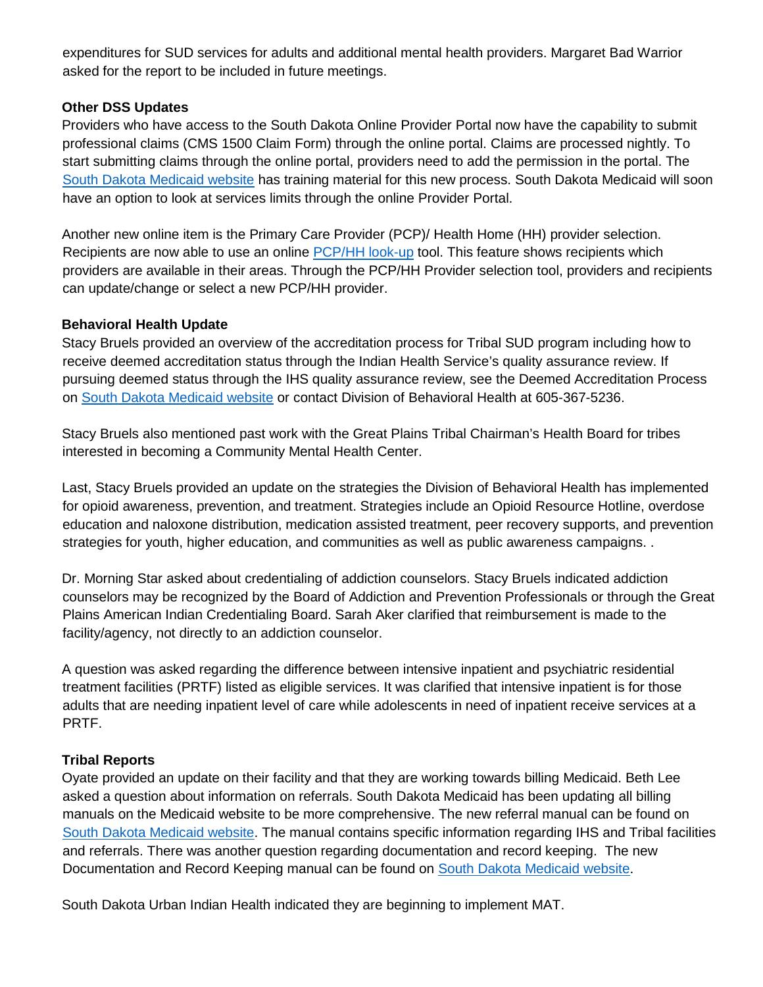expenditures for SUD services for adults and additional mental health providers. Margaret Bad Warrior asked for the report to be included in future meetings.

# **Other DSS Updates**

Providers who have access to the South Dakota Online Provider Portal now have the capability to submit professional claims (CMS 1500 Claim Form) through the online portal. Claims are processed nightly. To start submitting claims through the online portal, providers need to add the permission in the portal. The [South Dakota Medicaid website](https://dss.sd.gov/medicaid/portal.aspx) has training material for this new process. South Dakota Medicaid will soon have an option to look at services limits through the online Provider Portal.

Another new online item is the Primary Care Provider (PCP)/ Health Home (HH) provider selection. Recipients are now able to use an online [PCP/HH look-up](http://www.arcgis.com/apps/webappviewer/index.html?id=01408d3af20441b4964cafcfadfb299b&extent=-11745924.7733%2C5254793.2195%2C-10571852.0189%2C5803305.3345%2C102100) tool. This feature shows recipients which providers are available in their areas. Through the PCP/HH Provider selection tool, providers and recipients can update/change or select a new PCP/HH provider.

### **Behavioral Health Update**

Stacy Bruels provided an overview of the accreditation process for Tribal SUD program including how to receive deemed accreditation status through the Indian Health Service's quality assurance review. If pursuing deemed status through the IHS quality assurance review, see the Deemed Accreditation Process on [South Dakota Medicaid website](https://dss.sd.gov/docs/tribal/Other%20Items/Tribal%20Deemed%20Status%20Steps.pdf) or contact Division of Behavioral Health at 605-367-5236.

Stacy Bruels also mentioned past work with the Great Plains Tribal Chairman's Health Board for tribes interested in becoming a Community Mental Health Center.

Last, Stacy Bruels provided an update on the strategies the Division of Behavioral Health has implemented for opioid awareness, prevention, and treatment. Strategies include an Opioid Resource Hotline, overdose education and naloxone distribution, medication assisted treatment, peer recovery supports, and prevention strategies for youth, higher education, and communities as well as public awareness campaigns. .

Dr. Morning Star asked about credentialing of addiction counselors. Stacy Bruels indicated addiction counselors may be recognized by the Board of Addiction and Prevention Professionals or through the Great Plains American Indian Credentialing Board. Sarah Aker clarified that reimbursement is made to the facility/agency, not directly to an addiction counselor.

A question was asked regarding the difference between intensive inpatient and psychiatric residential treatment facilities (PRTF) listed as eligible services. It was clarified that intensive inpatient is for those adults that are needing inpatient level of care while adolescents in need of inpatient receive services at a PRTF.

# **Tribal Reports**

Oyate provided an update on their facility and that they are working towards billing Medicaid. Beth Lee asked a question about information on referrals. South Dakota Medicaid has been updating all billing manuals on the Medicaid website to be more comprehensive. The new referral manual can be found on [South Dakota Medicaid website.](https://dss.sd.gov/docs/medicaid/providers/billingmanuals/ReferralManual.pdf) The manual contains specific information regarding IHS and Tribal facilities and referrals. There was another question regarding documentation and record keeping. The new Documentation and Record Keeping manual can be found on [South Dakota Medicaid website.](https://dss.sd.gov/docs/medicaid/providers/billingmanuals/Documentation%20and%20Records.pdf)

South Dakota Urban Indian Health indicated they are beginning to implement MAT.